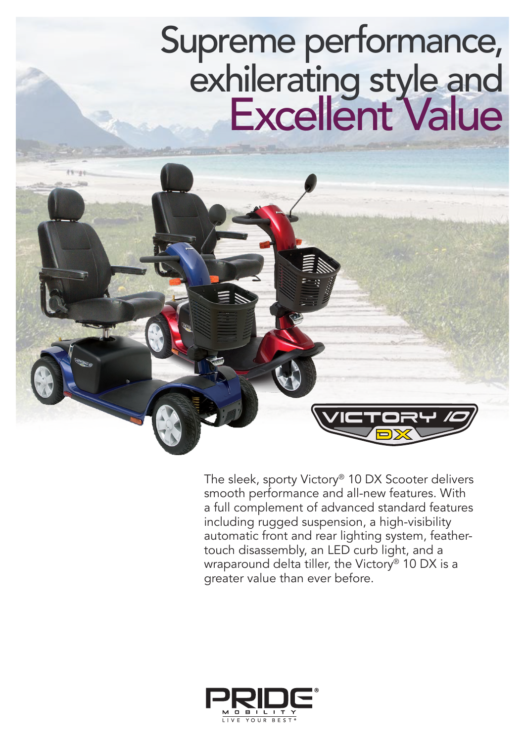## Supreme performance, exhilerating style and Excellent Value

The sleek, sporty Victory® 10 DX Scooter delivers smooth performance and all-new features. With a full complement of advanced standard features including rugged suspension, a high-visibility automatic front and rear lighting system, feathertouch disassembly, an LED curb light, and a wraparound delta tiller, the Victory<sup>®</sup> 10 DX is a greater value than ever before.